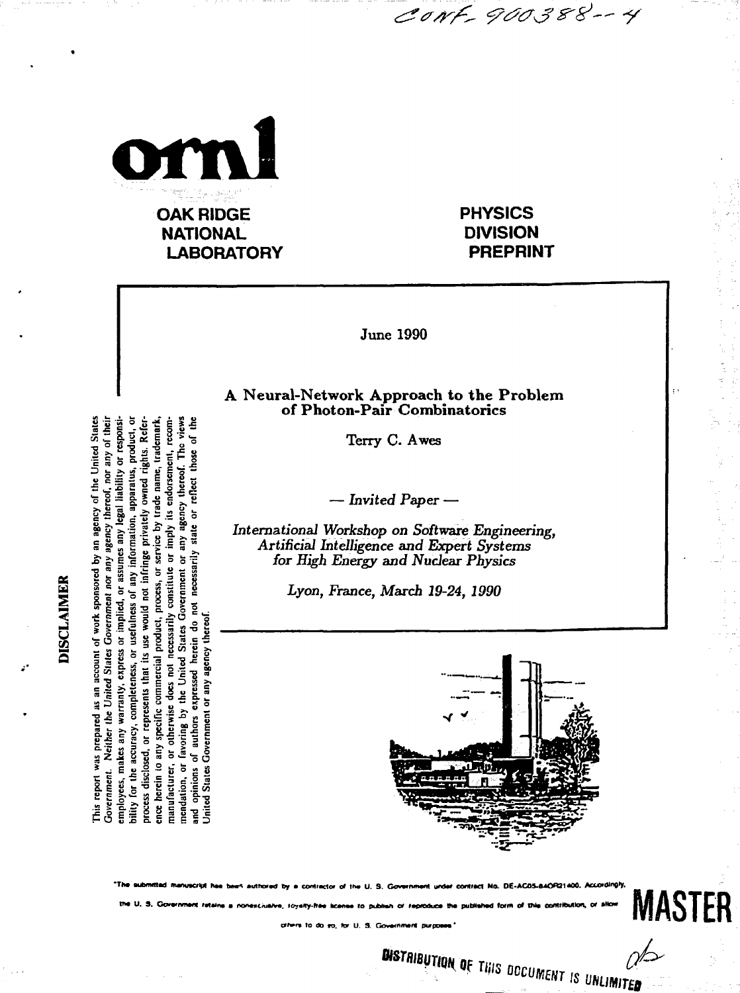

**PHYSICS DIVISION PREPRINT**

CONF-900388--4

June 1990

## **A Neural-Network Approach to the Problem of Photon-Pair Combinatorics**

Terry C. Awes

— *Invited Paper* —

Internationa/ *Workshop on Software Engineering, Artificial Intelligence and Expert Systems for High Energy and Nuclear Physics*

*Lyon, France, March 19-24, 1990*



**DISTRIBUTION OF THIS DOCUMENT IS UNLIMITED** 

**•Th. adxMMd nwuofl h« b«o Miiravxf Dy > conl>aclo> o> tM U. S. GoxKnownt m M eo«UK< Ha OE-ACOS-MOOanOO.** IM U. S. Government retains a nonexciualve, loyalty-free license to publish or reproduce the published form of this contribution, or allow **9,** foyety-free license to publish or reproduce the published form of this contribution, or allow **MASTER** 

**u> n u c o**  any information, apparatus, **fe a S** state **a "C B a.. J; O Q c**ss, or<br>stitute<br>nment<br>necessa **§ if i s ! ° § o .»> g s a 2**<br>1 work<br>Govern **necessarily** authors expressed herein **18 °.3 specific commercial**<br>**therwise does not n**<br>rring by the United **S c 5 T? « §** bility for the accuracy, completer favoring by mendation, or fa<br>and opinions of<br>United States Go **. I<sup>s</sup> g" s Government**. **.2.5 5 c- .2 a** , S <u>도 을 을</u> 을 을 을<br>*S* 도 을 을 을 을

**5 5** 5 5 5 5 5 5 5 5 5 5 5 5 7 5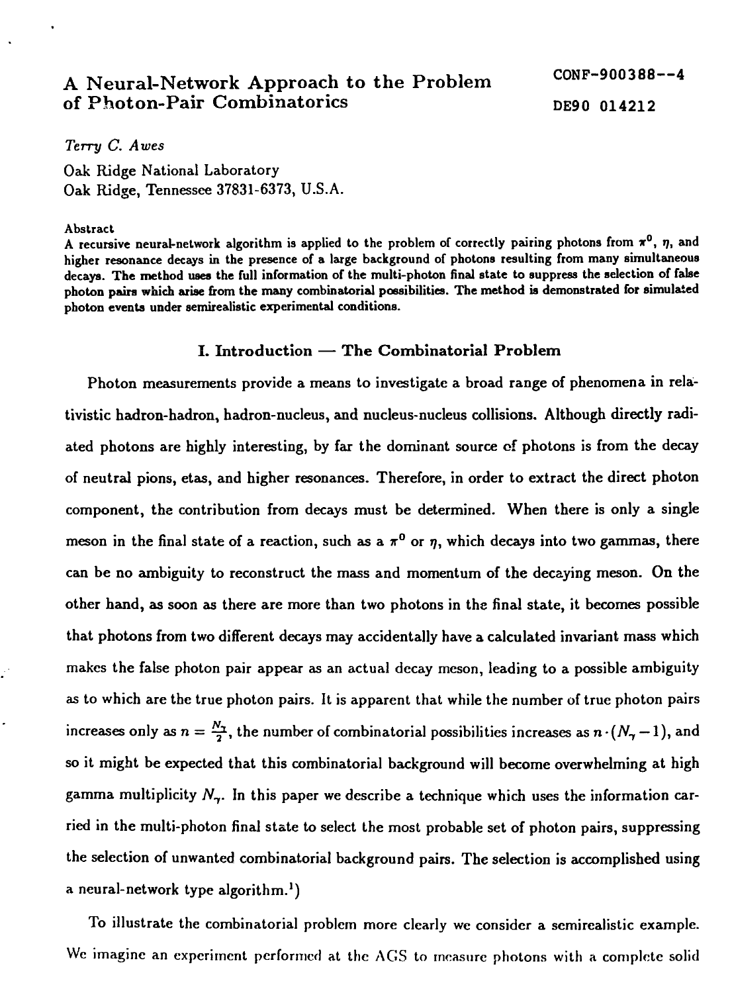# A Neural-Network Approach to the Problem CONF-900388--4 of Photon-Pair Combinatorics DE90 014212

*Terry C. Awes*

Oak Ridge National Laboratory Oak Ridge, Tennessee 37831-6373, U.S.A.

#### **Abstract**

A recursive neural-network algorithm is applied to the problem of correctly pairing photons from  $\pi^0$ ,  $\eta$ , and **higher resonance decays in the presence of a large background of photons resulting from many simultaneous decays. The method uses the full information of the multi-photon final state to suppress the selection of false photon pain which arise from the many combinatorial possibilities. The method is demonstrated for simulated photon events under semirealistic experimental conditions.**

#### **I. Introduction** — **The Combinatorial Problem**

Photon measurements provide a means to investigate a broad range of phenomena in relativistic hadron-hadron, hadron-nucleus, and nucleus-nucleus collisions. Although directly radiated photons are highly interesting, by far the dominant source of photons is from the decay of neutral pions, etas, and higher resonances. Therefore, in order to extract the direct photon component, the contribution from decays must be determined. When there is only a single meson in the final state of a reaction, such as a  $\pi^0$  or  $\eta$ , which decays into two gammas, there can be no ambiguity to reconstruct the mass and momentum of the decaying meson. On the other hand, as soon as there are more than two photons in the final state, it becomes possible that photons from two different decays may accidentally have a calculated invariant mass which makes the false photon pair appear as an actual decay meson, leading to a possible ambiguity as to which are the true photon pairs. It is apparent that while the number of true photon pairs increases only as  $n = \frac{N_T}{2}$ , the number of combinatorial possibilities increases as  $n \cdot (N_T - 1)$ , and so it might be expected that this combinatorial background will become overwhelming at high gamma multiplicity *Ny.* In this paper we describe a technique which uses the information carried in the multi-photon final state to select the most probable set of photon pairs, suppressing the selection of unwanted combinatorial background pairs. The selection is accomplished using a neural-network type algorithm.<sup>1</sup>)

To illustrate the combinatorial problem more clearly we consider a scmircalistic example. We imagine an experiment performed at the ACS to measure photons with a complete solid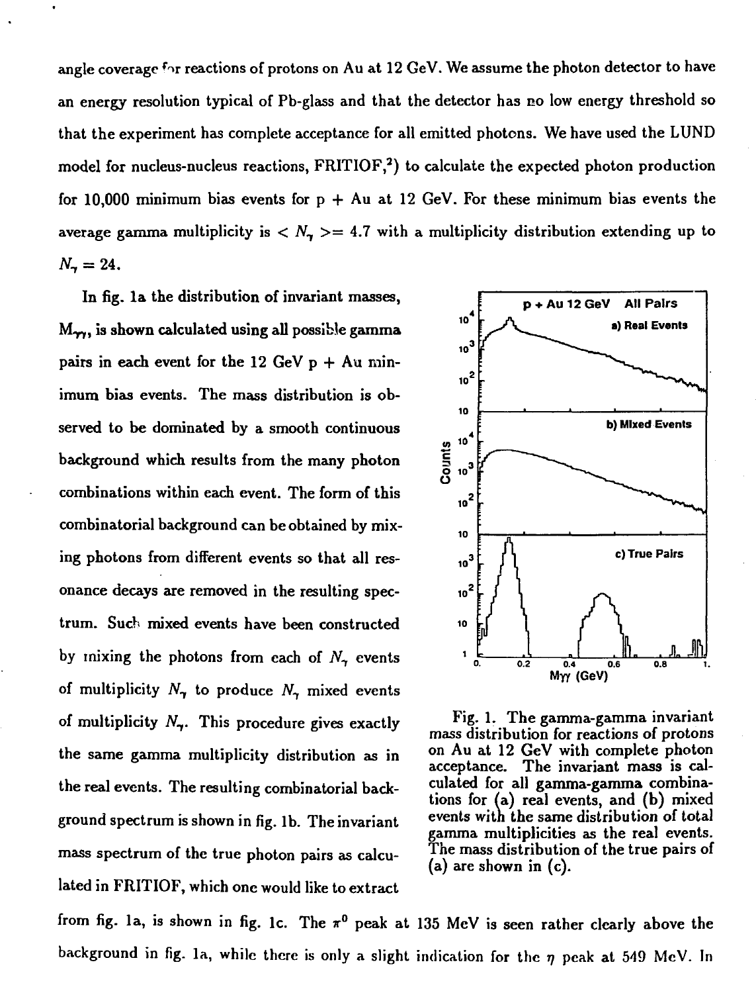angle coverage for reactions of protons on Au at 12 GeV. We assume the photon detector to have an energy resolution typical of Pb-glass and that the detector has no low energy threshold so that the experiment has complete acceptance for all emitted photons. We have used the LUND model for nucleus-nucleus reactions,  $FRITIOF, 2)$  to calculate the expected photon production for 10,000 minimum bias events for  $p + Au$  at 12 GeV. For these minimum bias events the average gamma multiplicity is  $\langle N_{\gamma} \rangle = 4.7$  with a multiplicity distribution extending up to  $N_{\gamma} = 24.$ 

In fig. la the distribution of invariant masses,  $M_{\gamma\gamma}$ , is shown calculated using all possible gamma pairs in each event for the 12 GeV  $p + Au$  minimum bias events. The mass distribution is observed to be dominated by a smooth continuous background which results from the many photon combinations within each event. The form of this combinatorial background can be obtained by mixing photons from different events so that all resonance decays are removed in the resulting spectrum. Such mixed events have been constructed by mixing the photons from each of *N^* events of multiplicity  $N_{\tau}$  to produce  $N_{\tau}$  mixed events of multiplicity *Ny.* This procedure gives exactly the same gamma multiplicity distribution as in the real events. The resulting combinatorial background spectrum is shown in fig. lb. The invariant mass spectrum of the true photon pairs as calculated in FRITIOF, which one would like to extract



Fig. 1. The gamma-gamma invariant mass distribution for reactions of protons on Au at  $12 \text{ GeV}$  with complete photo acceptance. The invariant mass is cal-<br>culated for all gamma-gamma combinations for (a) real events, and (b) mixed  $\blacksquare$  events with the same distribution of total gamma multiplicities as the real events. (a) are shown in (c).

from fig. 1a, is shown in fig. 1c. The  $\pi^0$  peak at 135 MeV is seen rather clearly above the background in fig. 1a, while there is only a slight indication for the  $\eta$  peak at 549 MeV. In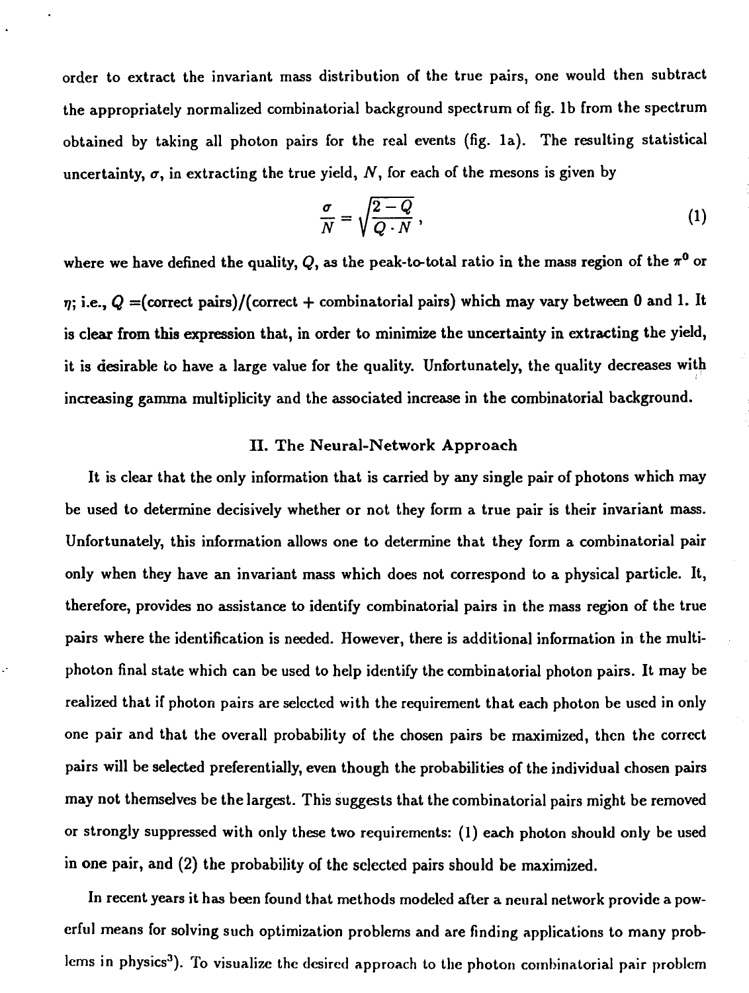order to extract the invariant mass distribution of the true pairs, one would then subtract the appropriately normalized combinatorial background spectrum of fig. lb from the spectrum obtained by taking all photon pairs for the real events (fig. la). The resulting statistical uncertainty,  $\sigma$ , in extracting the true yield,  $N$ , for each of the mesons is given by

$$
\frac{\sigma}{N} = \sqrt{\frac{2 - Q}{Q \cdot N}}\,,\tag{1}
$$

where we have defined the quality,  $Q$ , as the peak-to-total ratio in the mass region of the  $\pi^0$  or  $\eta$ ; i.e.,  $Q =$ (correct pairs)/(correct + combinatorial pairs) which may vary between 0 and 1. It is clear from this expression that, in order to minimize the uncertainty in extracting the yield, it is desirable to have a large value for the quality. Unfortunately, the quality decreases with increasing gamma multiplicity and the associated increase in the combinatorial background.

### II. The Neural-Network Approach

It is clear that the only information that is carried by any single pair of photons which may be used to determine decisively whether or not they form a true pair is their invariant mass. Unfortunately, this information allows one to determine that they form a combinatorial pair only when they have an invariant mass which does not correspond to a physical particle. It, therefore, provides no assistance to identify combinatorial pairs in the mass region of the true pairs where the identification is needed. However, there is additional information in the multiphoton final state which can be used to help identify the combinatorial photon pairs. It may be realized that if photon pairs are selected with the requirement that each photon be used in only one pair and that the overall probability of the chosen pairs be maximized, then the correct pairs will be selected preferentially, even though the probabilities of the individual chosen pairs may not themselves be the largest. This suggests that the combinatorial pairs might be removed or strongly suppressed with only these two requirements: (1) each photon should only be used in one pair, and (2) the probability of the selected pairs should be maximized.

In recent years it has been found that methods modeled after a neural network provide a powerful means for solving such optimization problems and are finding applications to many problems in physics<sup>3</sup>). To visualize the desired approach to the photon combinatorial pair problem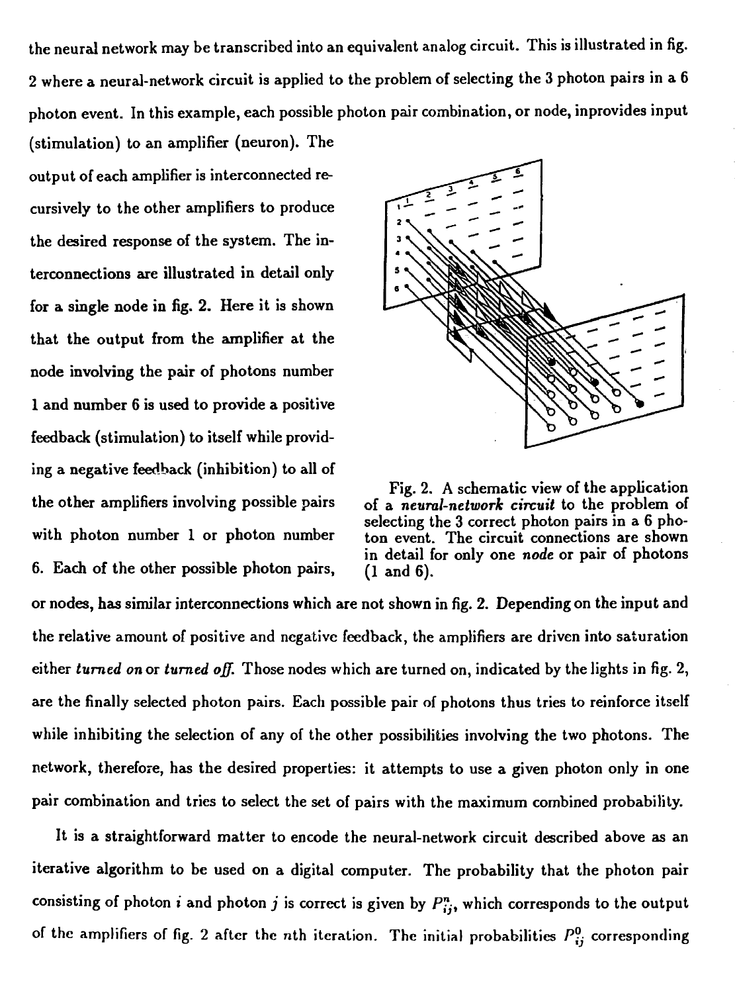the neural network may be transcribed into an equivalent analog circuit. This is illustrated in fig. 2 where a neural-network circuit is applied to the problem of selecting the 3 photon pairs in a 6 photon event. In this example, each possible photon pair combination, or node, inprovides input

(stimulation) to an amplifier (neuron). The output of each amplifier is interconnected recursively to the other amplifiers to produce the desired response of the system. The interconnections are illustrated in detail only for a single node in fig. 2. Here it is shown that the output from the amplifier at the node involving the pair of photons number 1 and number 6 is used to provide a positive feedback (stimulation) to itself while providing a negative feedback (inhibition) to all of 6. Each of the other possible photon pairs,  $(1 \text{ and } 6)$ .



Fig. 2. A schematic view of the application the other amplifiers involving possible pairs of a *neural-network circuit* to the problem of selecting the 3 correct photon pairs in a 6 phowith photon number 1 or photon number ton event. The circuit connections are shown in detail for only one *node* or pair of photons

or nodes, has similar interconnections which are not shown in fig. 2. Depending on the input and the relative amount of positive and negative feedback, the amplifiers are driven into saturation either *turned on* or *turned off.* Those nodes which are turned on, indicated by the lights in fig. 2, are the finally selected photon pairs. Each possible pair of photons thus tries to reinforce itself while inhibiting the selection of any of the other possibilities involving the two photons. The network, therefore, has the desired properties: it attempts to use a given photon only in one pair combination and tries to select the set of pairs with the maximum combined probability.

It is a straightforward matter to encode the neural-network circuit described above as an iterative algorithm to be used on a digital computer. The probability that the photon pair consisting of photon *i* and photon *j* is correct is given by  $P_{ij}^n$ , which corresponds to the output of the amplifiers of fig. 2 after the nth iteration. The initial probabilities  $P_{ij}^0$  corresponding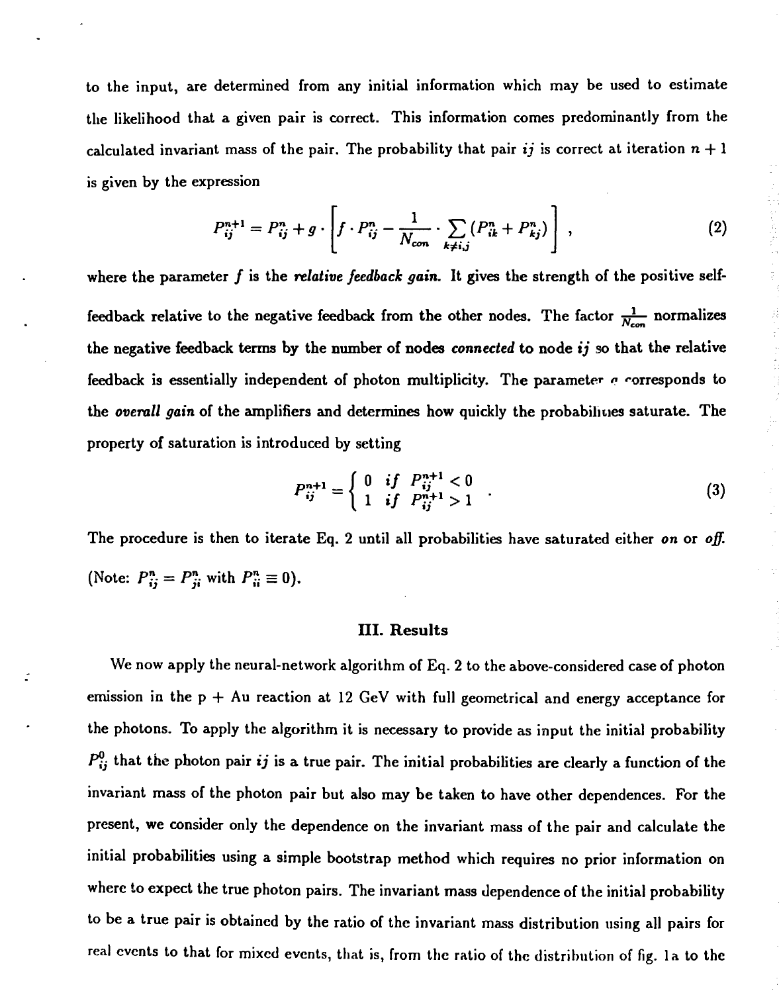to the input, are determined from any initial information which may be used to estimate the likelihood that a given pair is correct. This information comes predominantly from the calculated invariant mass of the pair. The probability that pair *ij* is correct at iteration  $n + 1$ is given by the expression

$$
P_{ij}^{n+1} = P_{ij}^{n} + g \cdot \left[ f \cdot P_{ij}^{n} - \frac{1}{N_{con}} \cdot \sum_{k \neq i,j} (P_{ik}^{n} + P_{kj}^{n}) \right],
$$
 (2)

where the parameter  $f$  is the *relative feedback gain*. It gives the strength of the positive selffeedback relative to the negative feedback from the other nodes. The factor  $\frac{1}{N_{con}}$  normalizes the negative feedback terms by the number of nodes *connected* to node *ij* so that the relative feedback is essentially independent of photon multiplicity. The parameter *a* corresponds to the *overall gain* of the amplifiers and determines how quickly the probabilities saturate. The property of saturation is introduced by setting

$$
P_{ij}^{n+1} = \begin{cases} 0 & if \quad P_{ij}^{n+1} < 0 \\ 1 & if \quad P_{ij}^{n+1} > 1 \end{cases} \tag{3}
$$

The procedure is then to iterate Eq. 2 until all probabilities have saturated either *on* or *off.* (Note:  $P_{ij}^n = P_{ji}^n$  with  $P_{ii}^n \equiv 0$ ).

#### III. Results

We now apply the neural-network algorithm of Eq. 2 to the above-considered case of photon emission in the  $p + Au$  reaction at 12 GeV with full geometrical and energy acceptance for the photons. To apply the algorithm it is necessary to provide as input the initial probability  $P_{ij}^0$  that the photon pair *ij* is a true pair. The initial probabilities are clearly a function of the invariant mass of the photon pair but also may be taken to have other dependences. For the present, we consider only the dependence on the invariant mass of the pair and calculate the initial probabilities using a simple bootstrap method which requires no prior information on where to expect the true photon pairs. The invariant mass dependence of the initial probability to be a true pair is obtained by the ratio of the invariant mass distribution using all pairs for real events to that for mixed events, that is, from the ratio of the distribution of fig. la to the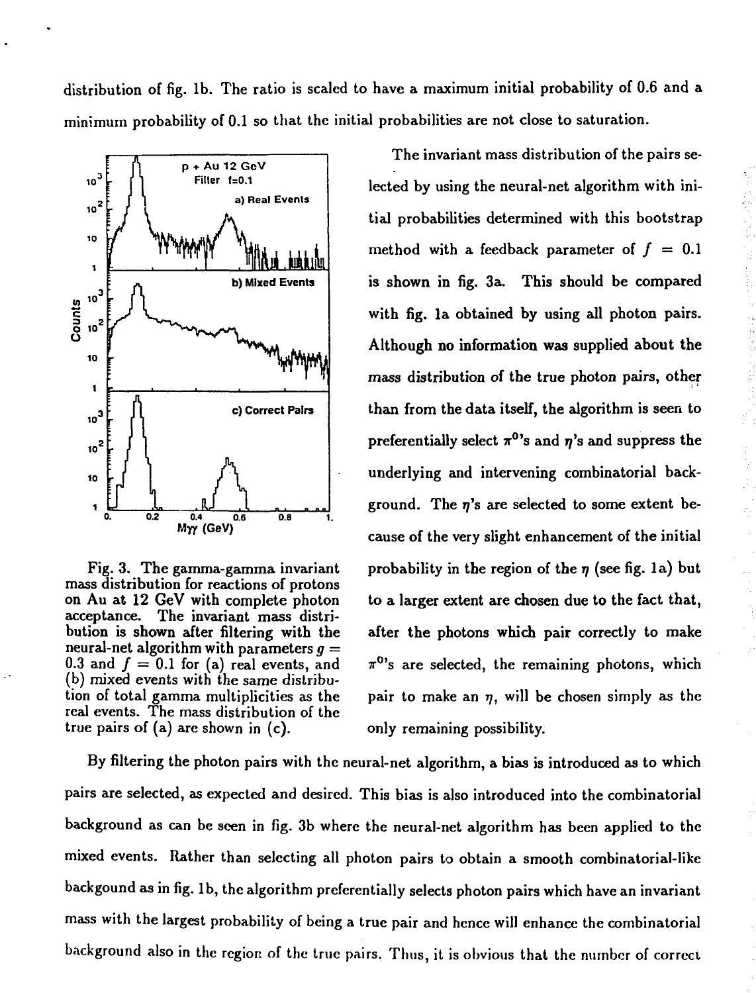distribution of fig. lb. The ratio is scaled to have a maximum initial probability of 0.6 and a minimum probability of 0.1 so that the initial probabilities are not close to saturation.



mass distribution for reactions of protons<br>on Au at 12 GeV with complete photon acceptance. The invariant mass distri-<br>bution is shown after filtering with the neural-net algorithm with parameters *g =* (b) mixed events with the same distribureal events. The mass distribution of the true pairs of  $(a)$  are shown in  $(c)$ . only remaining possibility.

The invariant mass distribution of the pairs selected by using the neural-net algorithm with initial probabilities determined with this bootstrap method with a feedback parameter of  $f = 0.1$ is shown in fig. 3a. This should be compared with fig. la obtained by using all photon pairs. Although no information was supplied about the mass distribution of the true photon pairs, other than from the data itself, the algorithm is seen to preferentially select  $\pi^{0}$ 's and  $\eta$ 's and suppress the underlying and intervening combinatorial background. The  $\eta$ 's are selected to some extent because of the very slight enhancement of the initial Fig. 3. The gamma-gamma invariant probability in the region of the  $\eta$  (see fig. 1a) but to a larger extent are chosen due to the fact that, after the photons which pair correctly to make 0.3 and  $f = 0.1$  for (a) real events, and  $\pi^{0}$ 's are selected, the remaining photons, which tion of total gamma multiplicities as the pair to make an  $\eta$ , will be chosen simply as the

By filtering the photon pairs with the neural-net algorithm, a bias is introduced as to which pairs are selected, as expected and desired. This bias is also introduced into the combinatorial background as can be seen in fig. 3b where the neural-net algorithm has been applied to the mixed events. Rather than selecting all photon pairs to obtain a smooth combinatorial-like backgound as in fig. lb, the algorithm preferentially selects photon pairs which have an invariant mass with the largest probability of being a true pair and hence will enhance the combinatorial background also in the region of the true pairs. Thus, it is obvious that the number of correct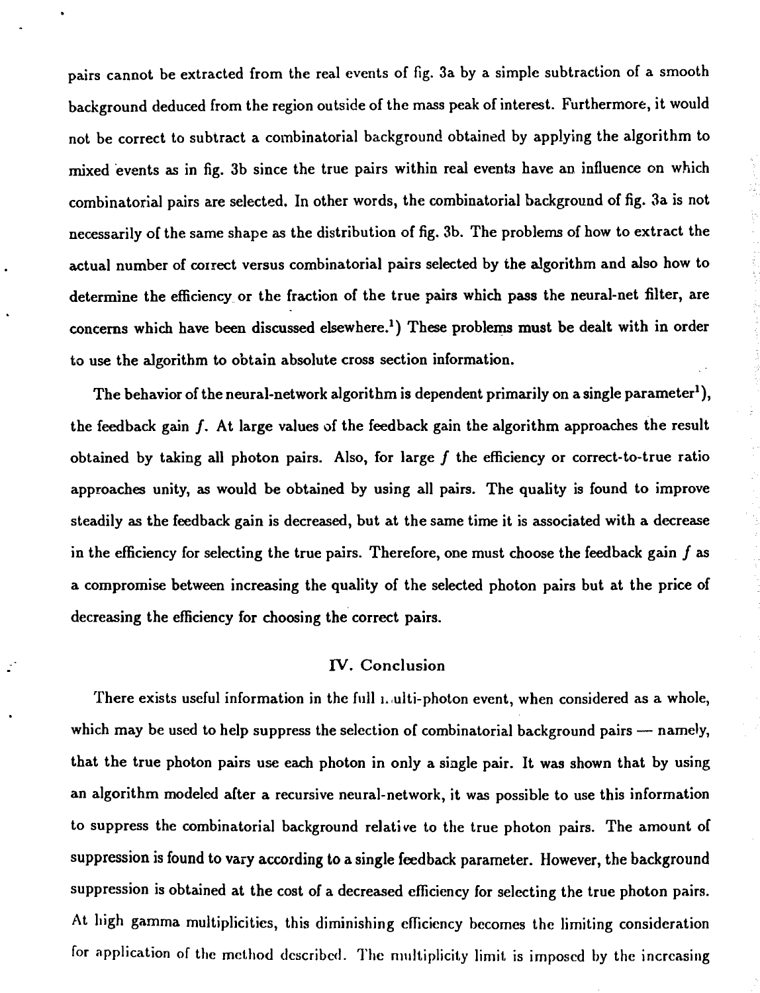pairs cannot be extracted from the real events of fig. 3a by a simple subtraction of a smooth background deduced from the region outside of the mass peak of interest. Furthermore, it would not be correct to subtract a combinatorial background obtained by applying the algorithm to mixed events as in fig. 3b since the true pairs within real events have an influence on which combinatorial pairs are selected. In other words, the combinatorial background of fig. 3a is not necessarily of the same shape as the distribution of fig. 3b. The problems of how to extract the actual number of correct versus combinatorial pairs selected by the algorithm and also how to determine the efficiency or the fraction of the true pairs which pass the neural-net filter, are concerns which have been discussed elsewhere.<sup>1</sup>) These problems must be dealt with in order to use the algorithm to obtain absolute cross section information.

The behavior of the neural-network algorithm is dependent primarily on a single parameter<sup>1</sup>), the feedback gain f. At large values of the feedback gain the algorithm approaches the result obtained by taking all photon pairs. Also, for large  $f$  the efficiency or correct-to-true ratio approaches unity, as would be obtained by using all pairs. The quality is found to improve steadily as the feedback gain is decreased, but at the same time it is associated with a decrease in the efficiency for selecting the true pairs. Therefore, one must choose the feedback gain  $f$  as a compromise between increasing the quality of the selected photon pairs but at the price of decreasing the efficiency for choosing the correct pairs.

#### IV. Conclusion

There exists useful information in the full uulti-photon event, when considered as a whole, which may be used to help suppress the selection of combinatorial background pairs — namely, that the true photon pairs use each photon in only a single pair. It was shown that by using an algorithm modeled after a recursive neural-network, it was possible to use this information to suppress the combinatorial background relative to the true photon pairs. The amount of suppression is found to vary according to a single feedback parameter. However, the background suppression is obtained at the cost of a decreased efficiency for selecting the true photon pairs. At high gamma multiplicities, this diminishing efficiency becomes the limiting consideration for application of the method described. The multiplicity limit is imposed by the increasing